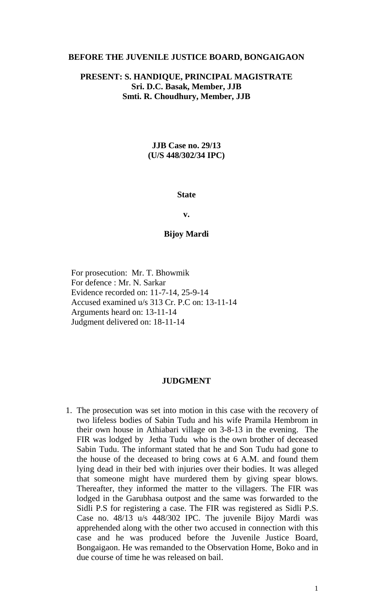#### **BEFORE THE JUVENILE JUSTICE BOARD, BONGAIGAON**

# **PRESENT: S. HANDIQUE, PRINCIPAL MAGISTRATE Sri. D.C. Basak, Member, JJB Smti. R. Choudhury, Member, JJB**

### **JJB Case no. 29/13 (U/S 448/302/34 IPC)**

#### **State**

**v.**

#### **Bijoy Mardi**

For prosecution: Mr. T. Bhowmik For defence : Mr. N. Sarkar Evidence recorded on: 11-7-14, 25-9-14 Accused examined u/s 313 Cr. P.C on: 13-11-14 Arguments heard on: 13-11-14 Judgment delivered on: 18-11-14

#### **JUDGMENT**

1. The prosecution was set into motion in this case with the recovery of two lifeless bodies of Sabin Tudu and his wife Pramila Hembrom in their own house in Athiabari village on 3-8-13 in the evening. The FIR was lodged by Jetha Tudu who is the own brother of deceased Sabin Tudu. The informant stated that he and Son Tudu had gone to the house of the deceased to bring cows at 6 A.M. and found them lying dead in their bed with injuries over their bodies. It was alleged that someone might have murdered them by giving spear blows. Thereafter, they informed the matter to the villagers. The FIR was lodged in the Garubhasa outpost and the same was forwarded to the Sidli P.S for registering a case. The FIR was registered as Sidli P.S. Case no. 48/13 u/s 448/302 IPC. The juvenile Bijoy Mardi was apprehended along with the other two accused in connection with this case and he was produced before the Juvenile Justice Board, Bongaigaon. He was remanded to the Observation Home, Boko and in due course of time he was released on bail.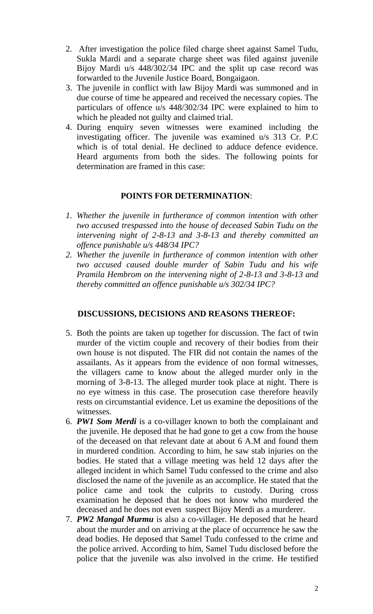- 2. After investigation the police filed charge sheet against Samel Tudu, Sukla Mardi and a separate charge sheet was filed against juvenile Bijoy Mardi u/s 448/302/34 IPC and the split up case record was forwarded to the Juvenile Justice Board, Bongaigaon.
- 3. The juvenile in conflict with law Bijoy Mardi was summoned and in due course of time he appeared and received the necessary copies. The particulars of offence u/s 448/302/34 IPC were explained to him to which he pleaded not guilty and claimed trial.
- 4. During enquiry seven witnesses were examined including the investigating officer. The juvenile was examined u/s 313 Cr. P.C which is of total denial. He declined to adduce defence evidence. Heard arguments from both the sides. The following points for determination are framed in this case:

# **POINTS FOR DETERMINATION**:

- *1. Whether the juvenile in furtherance of common intention with other two accused trespassed into the house of deceased Sabin Tudu on the intervening night of 2-8-13 and 3-8-13 and thereby committed an offence punishable u/s 448/34 IPC?*
- *2. Whether the juvenile in furtherance of common intention with other two accused caused double murder of Sabin Tudu and his wife Pramila Hembrom on the intervening night of 2-8-13 and 3-8-13 and thereby committed an offence punishable u/s 302/34 IPC?*

# **DISCUSSIONS, DECISIONS AND REASONS THEREOF:**

- 5. Both the points are taken up together for discussion. The fact of twin murder of the victim couple and recovery of their bodies from their own house is not disputed. The FIR did not contain the names of the assailants. As it appears from the evidence of non formal witnesses, the villagers came to know about the alleged murder only in the morning of 3-8-13. The alleged murder took place at night. There is no eye witness in this case. The prosecution case therefore heavily rests on circumstantial evidence. Let us examine the depositions of the witnesses.
- 6. *PW1 Som Merdi* is a co-villager known to both the complainant and the juvenile. He deposed that he had gone to get a cow from the house of the deceased on that relevant date at about 6 A.M and found them in murdered condition. According to him, he saw stab injuries on the bodies. He stated that a village meeting was held 12 days after the alleged incident in which Samel Tudu confessed to the crime and also disclosed the name of the juvenile as an accomplice. He stated that the police came and took the culprits to custody. During cross examination he deposed that he does not know who murdered the deceased and he does not even suspect Bijoy Merdi as a murderer.
- 7. *PW2 Mangal Murmu* is also a co-villager. He deposed that he heard about the murder and on arriving at the place of occurrence he saw the dead bodies. He deposed that Samel Tudu confessed to the crime and the police arrived. According to him, Samel Tudu disclosed before the police that the juvenile was also involved in the crime. He testified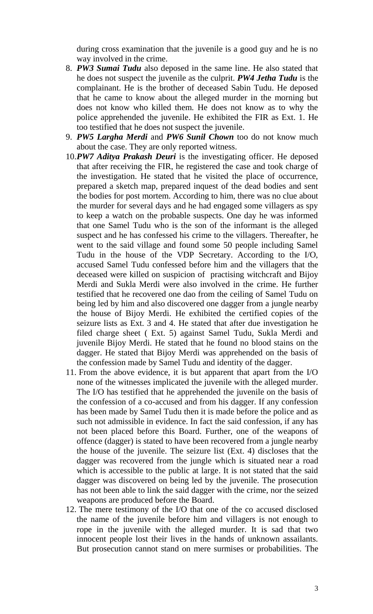during cross examination that the juvenile is a good guy and he is no way involved in the crime.

- 8. *PW3 Sumai Tudu* also deposed in the same line. He also stated that he does not suspect the juvenile as the culprit. *PW4 Jetha Tudu* is the complainant. He is the brother of deceased Sabin Tudu. He deposed that he came to know about the alleged murder in the morning but does not know who killed them. He does not know as to why the police apprehended the juvenile. He exhibited the FIR as Ext. 1. He too testified that he does not suspect the juvenile.
- 9. *PW5 Largha Merdi* and *PW6 Sunil Chown* too do not know much about the case. They are only reported witness.
- 10.*PW7 Aditya Prakash Deuri* is the investigating officer. He deposed that after receiving the FIR, he registered the case and took charge of the investigation. He stated that he visited the place of occurrence, prepared a sketch map, prepared inquest of the dead bodies and sent the bodies for post mortem. According to him, there was no clue about the murder for several days and he had engaged some villagers as spy to keep a watch on the probable suspects. One day he was informed that one Samel Tudu who is the son of the informant is the alleged suspect and he has confessed his crime to the villagers. Thereafter, he went to the said village and found some 50 people including Samel Tudu in the house of the VDP Secretary. According to the I/O, accused Samel Tudu confessed before him and the villagers that the deceased were killed on suspicion of practising witchcraft and Bijoy Merdi and Sukla Merdi were also involved in the crime. He further testified that he recovered one dao from the ceiling of Samel Tudu on being led by him and also discovered one dagger from a jungle nearby the house of Bijoy Merdi. He exhibited the certified copies of the seizure lists as Ext. 3 and 4. He stated that after due investigation he filed charge sheet ( Ext. 5) against Samel Tudu, Sukla Merdi and juvenile Bijoy Merdi. He stated that he found no blood stains on the dagger. He stated that Bijoy Merdi was apprehended on the basis of the confession made by Samel Tudu and identity of the dagger.
- 11. From the above evidence, it is but apparent that apart from the I/O none of the witnesses implicated the juvenile with the alleged murder. The I/O has testified that he apprehended the juvenile on the basis of the confession of a co-accused and from his dagger. If any confession has been made by Samel Tudu then it is made before the police and as such not admissible in evidence. In fact the said confession, if any has not been placed before this Board. Further, one of the weapons of offence (dagger) is stated to have been recovered from a jungle nearby the house of the juvenile. The seizure list (Ext. 4) discloses that the dagger was recovered from the jungle which is situated near a road which is accessible to the public at large. It is not stated that the said dagger was discovered on being led by the juvenile. The prosecution has not been able to link the said dagger with the crime, nor the seized weapons are produced before the Board.
- 12. The mere testimony of the I/O that one of the co accused disclosed the name of the juvenile before him and villagers is not enough to rope in the juvenile with the alleged murder. It is sad that two innocent people lost their lives in the hands of unknown assailants. But prosecution cannot stand on mere surmises or probabilities. The